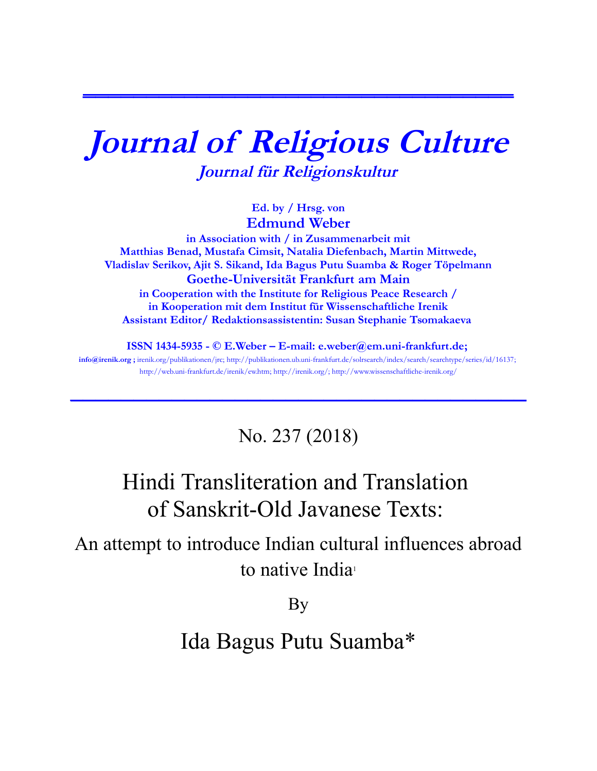# **Journal of Religious Culture Journal für Religionskultur**

**\_\_\_\_\_\_\_\_\_\_\_\_\_\_\_\_\_\_\_\_\_\_\_\_\_\_\_\_\_\_\_\_\_\_**

**Ed. by / Hrsg. von Edmund Weber**

**in Association with / in Zusammenarbeit mit Matthias Benad, Mustafa Cimsit, Natalia Diefenbach, Martin Mittwede, Vladislav Serikov, Ajit S. Sikand, Ida Bagus Putu Suamba & Roger Töpelmann Goethe-Universität Frankfurt am Main in Cooperation with the Institute for Religious Peace Research / in Kooperation mit dem Institut für Wissenschaftliche Irenik Assistant Editor/ Redaktionsassistentin: Susan Stephanie Tsomakaeva** 

**ISSN 1434-5935 - © E.Weber – E-mail: [e.weber@em.uni-frankfurt.de;](mailto:e.weber@em.uni-frankfurt.de) [info@irenik.org](mailto:info@irenik.org) ;** irenik.org/publikationen/jrc; [http://publikationen.ub.uni-frankfurt.de/solrsearch/index/search/searchtype/series/id/16137;](http://publikationen.ub.uni-frankfurt.de/solrsearch/index/search/searchtype/series/id/16137) [http://web.uni-frankfurt.de/irenik/ew.htm;](http://web.uni-frankfurt.de/irenik/ew.htm) [http://irenik.org/;](http://irenik.org/) http://www.wissenschaftliche-irenik.org/

**\_\_\_\_\_\_\_\_\_\_\_\_\_\_\_\_\_\_\_\_\_\_\_\_\_\_\_\_\_\_\_\_\_\_\_\_**

### No. 237 (2018)

# Hindi Transliteration and Translation of Sanskrit-Old Javanese Texts:

An attempt to introduce Indian cultural influences abroad to native India<sup>1</sup>

By

## Ida Bagus Putu Suamba\*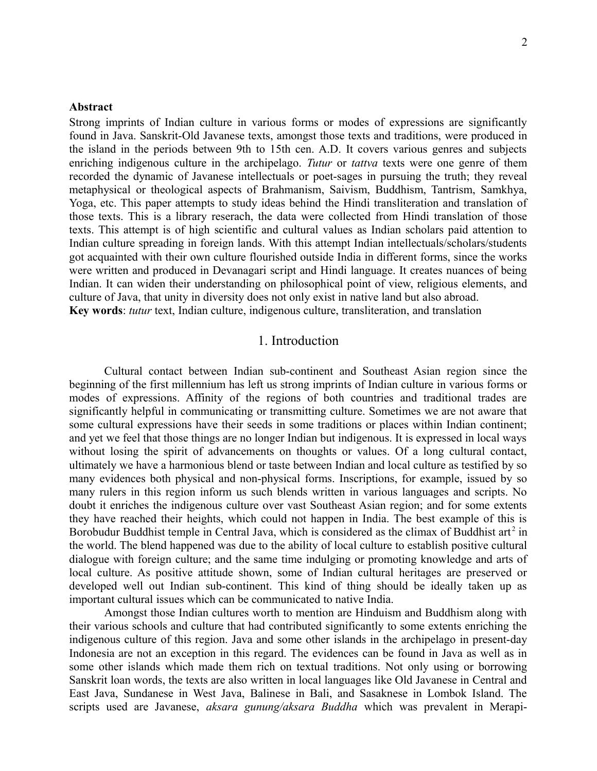#### **Abstract**

Strong imprints of Indian culture in various forms or modes of expressions are significantly found in Java. Sanskrit-Old Javanese texts, amongst those texts and traditions, were produced in the island in the periods between 9th to 15th cen. A.D. It covers various genres and subjects enriching indigenous culture in the archipelago. *Tutur* or *tattva* texts were one genre of them recorded the dynamic of Javanese intellectuals or poet-sages in pursuing the truth; they reveal metaphysical or theological aspects of Brahmanism, Saivism, Buddhism, Tantrism, Samkhya, Yoga, etc. This paper attempts to study ideas behind the Hindi transliteration and translation of those texts. This is a library reserach, the data were collected from Hindi translation of those texts. This attempt is of high scientific and cultural values as Indian scholars paid attention to Indian culture spreading in foreign lands. With this attempt Indian intellectuals/scholars/students got acquainted with their own culture flourished outside India in different forms, since the works were written and produced in Devanagari script and Hindi language. It creates nuances of being Indian. It can widen their understanding on philosophical point of view, religious elements, and culture of Java, that unity in diversity does not only exist in native land but also abroad. **Key words**: *tutur* text, Indian culture, indigenous culture, transliteration, and translation

#### 1. Introduction

Cultural contact between Indian sub-continent and Southeast Asian region since the beginning of the first millennium has left us strong imprints of Indian culture in various forms or modes of expressions. Affinity of the regions of both countries and traditional trades are significantly helpful in communicating or transmitting culture. Sometimes we are not aware that some cultural expressions have their seeds in some traditions or places within Indian continent; and yet we feel that those things are no longer Indian but indigenous. It is expressed in local ways without losing the spirit of advancements on thoughts or values. Of a long cultural contact, ultimately we have a harmonious blend or taste between Indian and local culture as testified by so many evidences both physical and non-physical forms. Inscriptions, for example, issued by so many rulers in this region inform us such blends written in various languages and scripts. No doubt it enriches the indigenous culture over vast Southeast Asian region; and for some extents they have reached their heights, which could not happen in India. The best example of this is Borobudur Buddhist temple in Central Java, which is considered as the climax of Buddhist art<sup>2</sup> in the world. The blend happened was due to the ability of local culture to establish positive cultural dialogue with foreign culture; and the same time indulging or promoting knowledge and arts of local culture. As positive attitude shown, some of Indian cultural heritages are preserved or developed well out Indian sub-continent. This kind of thing should be ideally taken up as important cultural issues which can be communicated to native India.

Amongst those Indian cultures worth to mention are Hinduism and Buddhism along with their various schools and culture that had contributed significantly to some extents enriching the indigenous culture of this region. Java and some other islands in the archipelago in present-day Indonesia are not an exception in this regard. The evidences can be found in Java as well as in some other islands which made them rich on textual traditions. Not only using or borrowing Sanskrit loan words, the texts are also written in local languages like Old Javanese in Central and East Java, Sundanese in West Java, Balinese in Bali, and Sasaknese in Lombok Island. The scripts used are Javanese, *aksara gunung/aksara Buddha* which was prevalent in Merapi-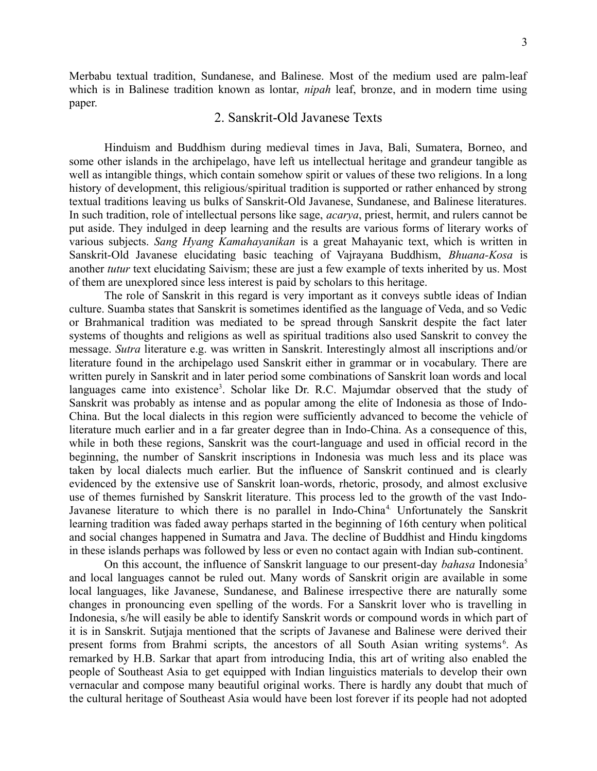Merbabu textual tradition, Sundanese, and Balinese. Most of the medium used are palm-leaf which is in Balinese tradition known as lontar, *nipah* leaf, bronze, and in modern time using paper.

#### 2. Sanskrit-Old Javanese Texts

Hinduism and Buddhism during medieval times in Java, Bali, Sumatera, Borneo, and some other islands in the archipelago, have left us intellectual heritage and grandeur tangible as well as intangible things, which contain somehow spirit or values of these two religions. In a long history of development, this religious/spiritual tradition is supported or rather enhanced by strong textual traditions leaving us bulks of Sanskrit-Old Javanese, Sundanese, and Balinese literatures. In such tradition, role of intellectual persons like sage, *acarya*, priest, hermit, and rulers cannot be put aside. They indulged in deep learning and the results are various forms of literary works of various subjects. *Sang Hyang Kamahayanikan* is a great Mahayanic text, which is written in Sanskrit-Old Javanese elucidating basic teaching of Vajrayana Buddhism, *Bhuana-Kosa* is another *tutur* text elucidating Saivism; these are just a few example of texts inherited by us. Most of them are unexplored since less interest is paid by scholars to this heritage.

The role of Sanskrit in this regard is very important as it conveys subtle ideas of Indian culture. Suamba states that Sanskrit is sometimes identified as the language of Veda, and so Vedic or Brahmanical tradition was mediated to be spread through Sanskrit despite the fact later systems of thoughts and religions as well as spiritual traditions also used Sanskrit to convey the message. *Sutra* literature e.g. was written in Sanskrit. Interestingly almost all inscriptions and/or literature found in the archipelago used Sanskrit either in grammar or in vocabulary. There are written purely in Sanskrit and in later period some combinations of Sanskrit loan words and local languages came into existence<sup>3</sup>. Scholar like Dr. R.C. Majumdar observed that the study of Sanskrit was probably as intense and as popular among the elite of Indonesia as those of Indo-China. But the local dialects in this region were sufficiently advanced to become the vehicle of literature much earlier and in a far greater degree than in Indo-China. As a consequence of this, while in both these regions, Sanskrit was the court-language and used in official record in the beginning, the number of Sanskrit inscriptions in Indonesia was much less and its place was taken by local dialects much earlier. But the influence of Sanskrit continued and is clearly evidenced by the extensive use of Sanskrit loan-words, rhetoric, prosody, and almost exclusive use of themes furnished by Sanskrit literature. This process led to the growth of the vast Indo-Javanese literature to which there is no parallel in Indo-China<sup>4</sup>. Unfortunately the Sanskrit learning tradition was faded away perhaps started in the beginning of 16th century when political and social changes happened in Sumatra and Java. The decline of Buddhist and Hindu kingdoms in these islands perhaps was followed by less or even no contact again with Indian sub-continent.

On this account, the influence of Sanskrit language to our present-day *bahasa* Indonesia<sup>5</sup> and local languages cannot be ruled out. Many words of Sanskrit origin are available in some local languages, like Javanese, Sundanese, and Balinese irrespective there are naturally some changes in pronouncing even spelling of the words. For a Sanskrit lover who is travelling in Indonesia, s/he will easily be able to identify Sanskrit words or compound words in which part of it is in Sanskrit. Sutjaja mentioned that the scripts of Javanese and Balinese were derived their present forms from Brahmi scripts, the ancestors of all South Asian writing systems<sup>6</sup>. As remarked by H.B. Sarkar that apart from introducing India, this art of writing also enabled the people of Southeast Asia to get equipped with Indian linguistics materials to develop their own vernacular and compose many beautiful original works. There is hardly any doubt that much of the cultural heritage of Southeast Asia would have been lost forever if its people had not adopted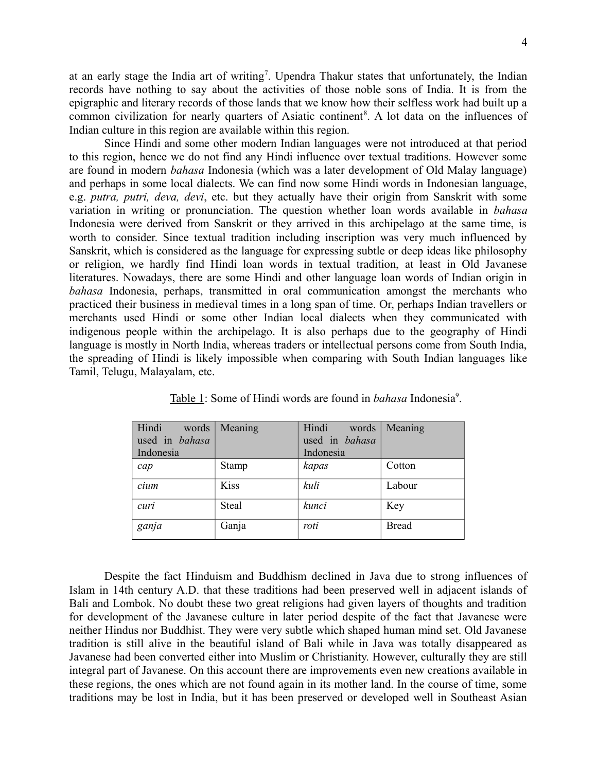at an early stage the India art of writing<sup>7</sup>. Upendra Thakur states that unfortunately, the Indian records have nothing to say about the activities of those noble sons of India. It is from the epigraphic and literary records of those lands that we know how their selfless work had built up a common civilization for nearly quarters of Asiatic continent<sup>8</sup>. A lot data on the influences of Indian culture in this region are available within this region.

Since Hindi and some other modern Indian languages were not introduced at that period to this region, hence we do not find any Hindi influence over textual traditions. However some are found in modern *bahasa* Indonesia (which was a later development of Old Malay language) and perhaps in some local dialects. We can find now some Hindi words in Indonesian language, e.g. *putra, putri, deva, devi*, etc. but they actually have their origin from Sanskrit with some variation in writing or pronunciation. The question whether loan words available in *bahasa* Indonesia were derived from Sanskrit or they arrived in this archipelago at the same time, is worth to consider. Since textual tradition including inscription was very much influenced by Sanskrit, which is considered as the language for expressing subtle or deep ideas like philosophy or religion, we hardly find Hindi loan words in textual tradition, at least in Old Javanese literatures. Nowadays, there are some Hindi and other language loan words of Indian origin in *bahasa* Indonesia, perhaps, transmitted in oral communication amongst the merchants who practiced their business in medieval times in a long span of time. Or, perhaps Indian travellers or merchants used Hindi or some other Indian local dialects when they communicated with indigenous people within the archipelago. It is also perhaps due to the geography of Hindi language is mostly in North India, whereas traders or intellectual persons come from South India, the spreading of Hindi is likely impossible when comparing with South Indian languages like Tamil, Telugu, Malayalam, etc.

| Hindi<br>words | Meaning      | Hindi<br>words | Meaning      |
|----------------|--------------|----------------|--------------|
| used in bahasa |              | used in bahasa |              |
| Indonesia      |              | Indonesia      |              |
| cap            | <b>Stamp</b> | kapas          | Cotton       |
| cium           | <b>Kiss</b>  | kuli           | Labour       |
| curi           | Steal        | kunci          | Key          |
| ganja          | Ganja        | roti           | <b>Bread</b> |

Table 1: Some of Hindi words are found in *bahasa* Indonesia<sup>9</sup>.

Despite the fact Hinduism and Buddhism declined in Java due to strong influences of Islam in 14th century A.D. that these traditions had been preserved well in adjacent islands of Bali and Lombok. No doubt these two great religions had given layers of thoughts and tradition for development of the Javanese culture in later period despite of the fact that Javanese were neither Hindus nor Buddhist. They were very subtle which shaped human mind set. Old Javanese tradition is still alive in the beautiful island of Bali while in Java was totally disappeared as Javanese had been converted either into Muslim or Christianity. However, culturally they are still integral part of Javanese. On this account there are improvements even new creations available in these regions, the ones which are not found again in its mother land. In the course of time, some traditions may be lost in India, but it has been preserved or developed well in Southeast Asian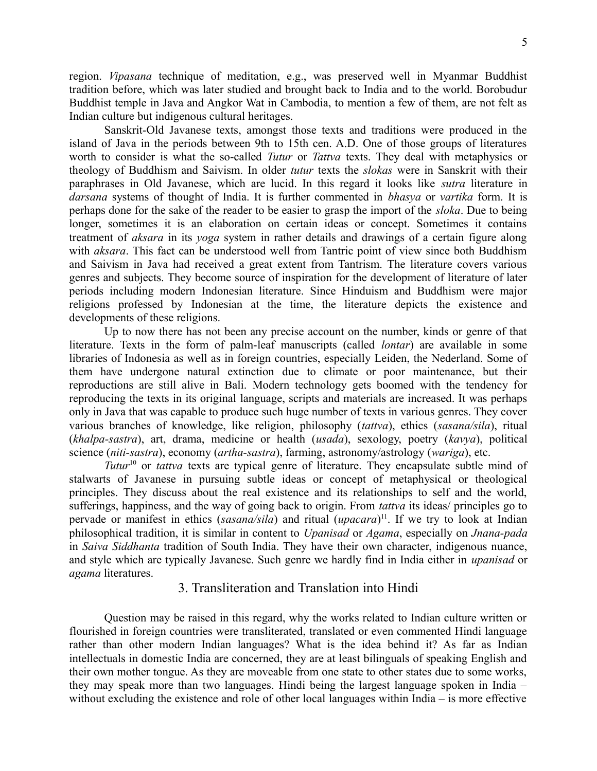region. *Vipasana* technique of meditation, e.g., was preserved well in Myanmar Buddhist tradition before, which was later studied and brought back to India and to the world. Borobudur Buddhist temple in Java and Angkor Wat in Cambodia, to mention a few of them, are not felt as Indian culture but indigenous cultural heritages.

Sanskrit-Old Javanese texts, amongst those texts and traditions were produced in the island of Java in the periods between 9th to 15th cen. A.D. One of those groups of literatures worth to consider is what the so-called *Tutur* or *Tattva* texts. They deal with metaphysics or theology of Buddhism and Saivism. In older *tutur* texts the *slokas* were in Sanskrit with their paraphrases in Old Javanese, which are lucid. In this regard it looks like *sutra* literature in *darsana* systems of thought of India. It is further commented in *bhasya* or *vartika* form. It is perhaps done for the sake of the reader to be easier to grasp the import of the *sloka*. Due to being longer, sometimes it is an elaboration on certain ideas or concept. Sometimes it contains treatment of *aksara* in its *yoga* system in rather details and drawings of a certain figure along with *aksara*. This fact can be understood well from Tantric point of view since both Buddhism and Saivism in Java had received a great extent from Tantrism. The literature covers various genres and subjects. They become source of inspiration for the development of literature of later periods including modern Indonesian literature. Since Hinduism and Buddhism were major religions professed by Indonesian at the time, the literature depicts the existence and developments of these religions.

Up to now there has not been any precise account on the number, kinds or genre of that literature. Texts in the form of palm-leaf manuscripts (called *lontar*) are available in some libraries of Indonesia as well as in foreign countries, especially Leiden, the Nederland. Some of them have undergone natural extinction due to climate or poor maintenance, but their reproductions are still alive in Bali. Modern technology gets boomed with the tendency for reproducing the texts in its original language, scripts and materials are increased. It was perhaps only in Java that was capable to produce such huge number of texts in various genres. They cover various branches of knowledge, like religion, philosophy (*tattva*), ethics (*sasana/sila*), ritual (*khalpa-sastra*), art, drama, medicine or health (*usada*), sexology, poetry (*kavya*), political science (*niti-sastra*), economy (*artha-sastra*), farming, astronomy/astrology (*wariga*), etc.

*Tutur*<sup>10</sup> or *tattva* texts are typical genre of literature. They encapsulate subtle mind of stalwarts of Javanese in pursuing subtle ideas or concept of metaphysical or theological principles. They discuss about the real existence and its relationships to self and the world, sufferings, happiness, and the way of going back to origin. From *tattva* its ideas/ principles go to pervade or manifest in ethics (*sasana/sila*) and ritual (*upacara*) <sup>11</sup>. If we try to look at Indian philosophical tradition, it is similar in content to *Upanisad* or *Agama*, especially on *Jnana-pada* in *Saiva Siddhanta* tradition of South India. They have their own character, indigenous nuance, and style which are typically Javanese. Such genre we hardly find in India either in *upanisad* or *agama* literatures.

#### 3. Transliteration and Translation into Hindi

Question may be raised in this regard, why the works related to Indian culture written or flourished in foreign countries were transliterated, translated or even commented Hindi language rather than other modern Indian languages? What is the idea behind it? As far as Indian intellectuals in domestic India are concerned, they are at least bilinguals of speaking English and their own mother tongue. As they are moveable from one state to other states due to some works, they may speak more than two languages. Hindi being the largest language spoken in India – without excluding the existence and role of other local languages within India – is more effective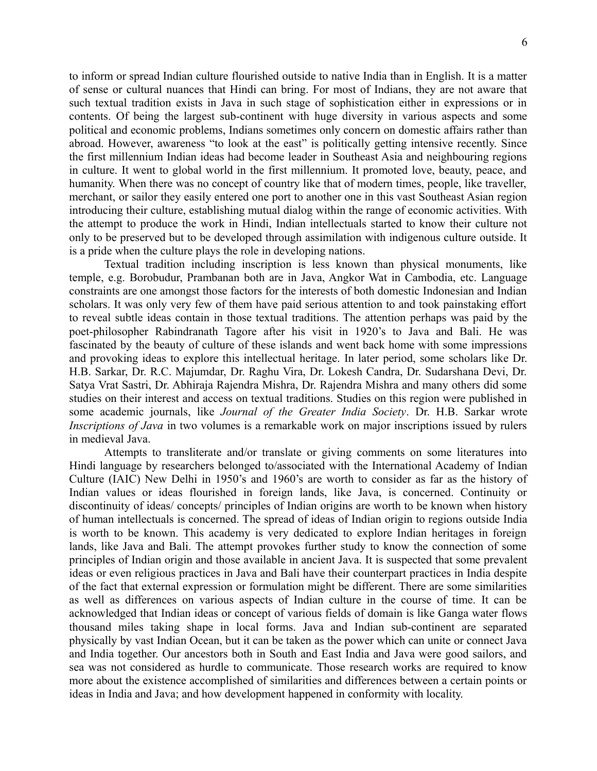to inform or spread Indian culture flourished outside to native India than in English. It is a matter of sense or cultural nuances that Hindi can bring. For most of Indians, they are not aware that such textual tradition exists in Java in such stage of sophistication either in expressions or in contents. Of being the largest sub-continent with huge diversity in various aspects and some political and economic problems, Indians sometimes only concern on domestic affairs rather than abroad. However, awareness "to look at the east" is politically getting intensive recently. Since the first millennium Indian ideas had become leader in Southeast Asia and neighbouring regions in culture. It went to global world in the first millennium. It promoted love, beauty, peace, and humanity. When there was no concept of country like that of modern times, people, like traveller, merchant, or sailor they easily entered one port to another one in this vast Southeast Asian region introducing their culture, establishing mutual dialog within the range of economic activities. With the attempt to produce the work in Hindi, Indian intellectuals started to know their culture not only to be preserved but to be developed through assimilation with indigenous culture outside. It is a pride when the culture plays the role in developing nations.

Textual tradition including inscription is less known than physical monuments, like temple, e.g. Borobudur, Prambanan both are in Java, Angkor Wat in Cambodia, etc. Language constraints are one amongst those factors for the interests of both domestic Indonesian and Indian scholars. It was only very few of them have paid serious attention to and took painstaking effort to reveal subtle ideas contain in those textual traditions. The attention perhaps was paid by the poet-philosopher Rabindranath Tagore after his visit in 1920's to Java and Bali. He was fascinated by the beauty of culture of these islands and went back home with some impressions and provoking ideas to explore this intellectual heritage. In later period, some scholars like Dr. H.B. Sarkar, Dr. R.C. Majumdar, Dr. Raghu Vira, Dr. Lokesh Candra, Dr. Sudarshana Devi, Dr. Satya Vrat Sastri, Dr. Abhiraja Rajendra Mishra, Dr. Rajendra Mishra and many others did some studies on their interest and access on textual traditions. Studies on this region were published in some academic journals, like *Journal of the Greater India Society*. Dr. H.B. Sarkar wrote *Inscriptions of Java* in two volumes is a remarkable work on major inscriptions issued by rulers in medieval Java.

Attempts to transliterate and/or translate or giving comments on some literatures into Hindi language by researchers belonged to/associated with the International Academy of Indian Culture (IAIC) New Delhi in 1950's and 1960's are worth to consider as far as the history of Indian values or ideas flourished in foreign lands, like Java, is concerned. Continuity or discontinuity of ideas/ concepts/ principles of Indian origins are worth to be known when history of human intellectuals is concerned. The spread of ideas of Indian origin to regions outside India is worth to be known. This academy is very dedicated to explore Indian heritages in foreign lands, like Java and Bali. The attempt provokes further study to know the connection of some principles of Indian origin and those available in ancient Java. It is suspected that some prevalent ideas or even religious practices in Java and Bali have their counterpart practices in India despite of the fact that external expression or formulation might be different. There are some similarities as well as differences on various aspects of Indian culture in the course of time. It can be acknowledged that Indian ideas or concept of various fields of domain is like Ganga water flows thousand miles taking shape in local forms. Java and Indian sub-continent are separated physically by vast Indian Ocean, but it can be taken as the power which can unite or connect Java and India together. Our ancestors both in South and East India and Java were good sailors, and sea was not considered as hurdle to communicate. Those research works are required to know more about the existence accomplished of similarities and differences between a certain points or ideas in India and Java; and how development happened in conformity with locality.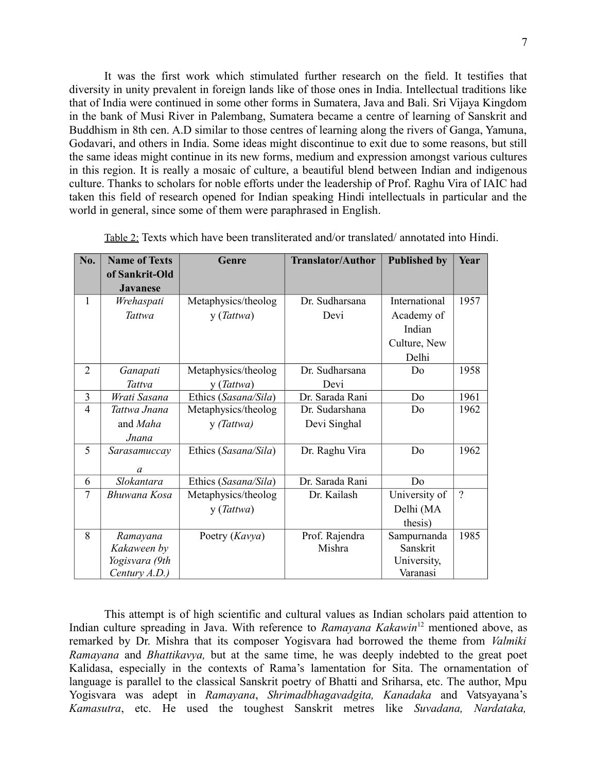It was the first work which stimulated further research on the field. It testifies that diversity in unity prevalent in foreign lands like of those ones in India. Intellectual traditions like that of India were continued in some other forms in Sumatera, Java and Bali. Sri Vijaya Kingdom in the bank of Musi River in Palembang, Sumatera became a centre of learning of Sanskrit and Buddhism in 8th cen. A.D similar to those centres of learning along the rivers of Ganga, Yamuna, Godavari, and others in India. Some ideas might discontinue to exit due to some reasons, but still the same ideas might continue in its new forms, medium and expression amongst various cultures in this region. It is really a mosaic of culture, a beautiful blend between Indian and indigenous culture. Thanks to scholars for noble efforts under the leadership of Prof. Raghu Vira of IAIC had taken this field of research opened for Indian speaking Hindi intellectuals in particular and the world in general, since some of them were paraphrased in English.

| No.            | <b>Name of Texts</b> | Genre                | <b>Translator/Author</b> | <b>Published by</b> | Year           |
|----------------|----------------------|----------------------|--------------------------|---------------------|----------------|
|                | of Sankrit-Old       |                      |                          |                     |                |
|                | <b>Javanese</b>      |                      |                          |                     |                |
| $\mathbf{1}$   | Wrehaspati           | Metaphysics/theolog  | Dr. Sudharsana           | International       | 1957           |
|                | Tattwa               | y (Tattwa)           | Devi                     | Academy of          |                |
|                |                      |                      |                          | Indian              |                |
|                |                      |                      |                          | Culture, New        |                |
|                |                      |                      |                          | Delhi               |                |
| $\overline{2}$ | Ganapati             | Metaphysics/theolog  | Dr. Sudharsana           | Do                  | 1958           |
|                | Tattva               | y (Tattwa)           | Devi                     |                     |                |
| $\overline{3}$ | Wrati Sasana         | Ethics (Sasana/Sila) | Dr. Sarada Rani          | Do                  | 1961           |
| $\overline{4}$ | Tattwa Jnana         | Metaphysics/theolog  | Dr. Sudarshana           | Do                  | 1962           |
|                | and Maha             | y (Tattwa)           | Devi Singhal             |                     |                |
|                | Jnana                |                      |                          |                     |                |
| 5              | Sarasamuccay         | Ethics (Sasana/Sila) | Dr. Raghu Vira           | Do                  | 1962           |
|                | a                    |                      |                          |                     |                |
| 6              | Slokantara           | Ethics (Sasana/Sila) | Dr. Sarada Rani          | Do                  |                |
| 7              | Bhuwana Kosa         | Metaphysics/theolog  | Dr. Kailash              | University of       | $\overline{?}$ |
|                |                      | y (Tattwa)           |                          | Delhi (MA           |                |
|                |                      |                      |                          | thesis)             |                |
| 8              | Ramayana             | Poetry (Kavya)       | Prof. Rajendra           | Sampurnanda         | 1985           |
|                | Kakaween by          |                      | Mishra                   | Sanskrit            |                |
|                | Yogisvara (9th       |                      |                          | University,         |                |
|                | Century $A.D.$ )     |                      |                          | Varanasi            |                |

| Table 2: Texts which have been transliterated and/or translated/annotated into Hindi. |  |  |
|---------------------------------------------------------------------------------------|--|--|
|---------------------------------------------------------------------------------------|--|--|

This attempt is of high scientific and cultural values as Indian scholars paid attention to Indian culture spreading in Java. With reference to *Ramayana Kakawin*<sup>12</sup> mentioned above, as remarked by Dr. Mishra that its composer Yogisvara had borrowed the theme from *Valmiki Ramayana* and *Bhattikavya,* but at the same time, he was deeply indebted to the great poet Kalidasa, especially in the contexts of Rama's lamentation for Sita. The ornamentation of language is parallel to the classical Sanskrit poetry of Bhatti and Sriharsa, etc. The author, Mpu Yogisvara was adept in *Ramayana*, *Shrimadbhagavadgita, Kanadaka* and Vatsyayana's *Kamasutra*, etc. He used the toughest Sanskrit metres like *Suvadana, Nardataka,*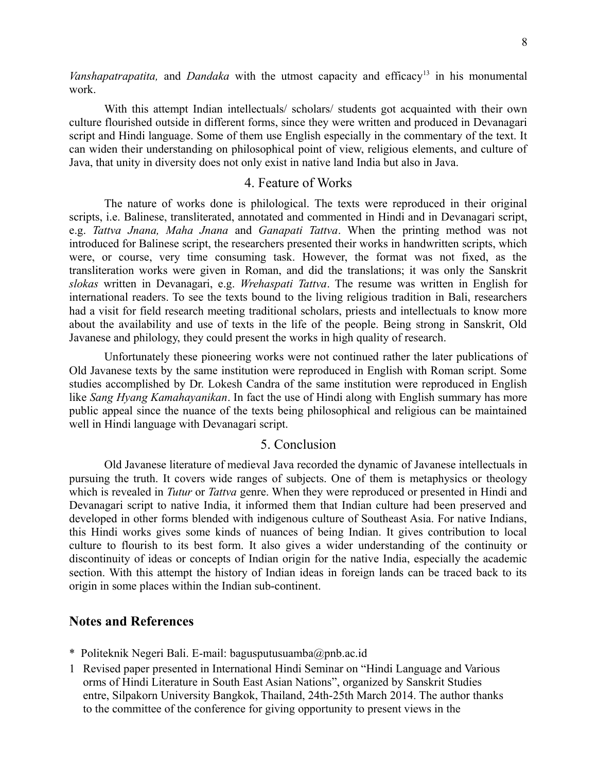*Vanshapatrapatita*, and *Dandaka* with the utmost capacity and efficacy<sup>13</sup> in his monumental work.

With this attempt Indian intellectuals/ scholars/ students got acquainted with their own culture flourished outside in different forms, since they were written and produced in Devanagari script and Hindi language. Some of them use English especially in the commentary of the text. It can widen their understanding on philosophical point of view, religious elements, and culture of Java, that unity in diversity does not only exist in native land India but also in Java.

#### 4. Feature of Works

The nature of works done is philological. The texts were reproduced in their original scripts, i.e. Balinese, transliterated, annotated and commented in Hindi and in Devanagari script, e.g. *Tattva Jnana, Maha Jnana* and *Ganapati Tattva*. When the printing method was not introduced for Balinese script, the researchers presented their works in handwritten scripts, which were, or course, very time consuming task. However, the format was not fixed, as the transliteration works were given in Roman, and did the translations; it was only the Sanskrit *slokas* written in Devanagari, e.g. *Wrehaspati Tattva*. The resume was written in English for international readers. To see the texts bound to the living religious tradition in Bali, researchers had a visit for field research meeting traditional scholars, priests and intellectuals to know more about the availability and use of texts in the life of the people. Being strong in Sanskrit, Old Javanese and philology, they could present the works in high quality of research.

Unfortunately these pioneering works were not continued rather the later publications of Old Javanese texts by the same institution were reproduced in English with Roman script. Some studies accomplished by Dr. Lokesh Candra of the same institution were reproduced in English like *Sang Hyang Kamahayanikan*. In fact the use of Hindi along with English summary has more public appeal since the nuance of the texts being philosophical and religious can be maintained well in Hindi language with Devanagari script.

#### 5. Conclusion

Old Javanese literature of medieval Java recorded the dynamic of Javanese intellectuals in pursuing the truth. It covers wide ranges of subjects. One of them is metaphysics or theology which is revealed in *Tutur* or *Tattva* genre. When they were reproduced or presented in Hindi and Devanagari script to native India, it informed them that Indian culture had been preserved and developed in other forms blended with indigenous culture of Southeast Asia. For native Indians, this Hindi works gives some kinds of nuances of being Indian. It gives contribution to local culture to flourish to its best form. It also gives a wider understanding of the continuity or discontinuity of ideas or concepts of Indian origin for the native India, especially the academic section. With this attempt the history of Indian ideas in foreign lands can be traced back to its origin in some places within the Indian sub-continent.

#### **Notes and References**

- \* Politeknik Negeri Bali. E-mail: bagusputusuamba@pnb.ac.id
- 1 Revised paper presented in International Hindi Seminar on "Hindi Language and Various orms of Hindi Literature in South East Asian Nations", organized by Sanskrit Studies entre, Silpakorn University Bangkok, Thailand, 24th-25th March 2014. The author thanks to the committee of the conference for giving opportunity to present views in the